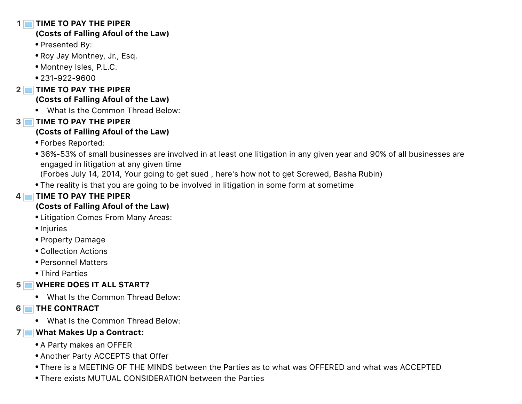#### **1 TIME TO PAY THE PIPER**

### **(Costs of Falling Afoul of the Law)**

- Presented By:
- Roy Jay Montney, Jr., Esq.
- Montney Isles, P.L.C.
- 231-922-9600
- **2 TIME TO PAY THE PIPER (Costs of Falling Afoul of the Law)**
	- What Is the Common Thread Below:
- **3 TIME TO PAY THE PIPER**

## **(Costs of Falling Afoul of the Law)**

- Forbes Reported:
- 36%-53% of small businesses are involved in at least one litigation in any given year and 90% of all businesses are engaged in litigation at any given time
	- (Forbes July 14, 2014, Your going to get sued , here's how not to get Screwed, Basha Rubin)
- The reality is that you are going to be involved in litigation in some form at sometime

# **4 TIME TO PAY THE PIPER**

## **(Costs of Falling Afoul of the Law)**

- Litigation Comes From Many Areas:
- Injuries
- Property Damage
- Collection Actions
- Personnel Matters
- Third Parties

# **5 WHERE DOES IT ALL START?**

- What Is the Common Thread Below:
- **6 THE CONTRACT**
	- What Is the Common Thread Below:

### **7 What Makes Up a Contract:**

- A Party makes an OFFER
- Another Party ACCEPTS that Offer
- There is a MEETING OF THE MINDS between the Parties as to what was OFFERED and what was ACCEPTED
- There exists MUTUAL CONSIDERATION between the Parties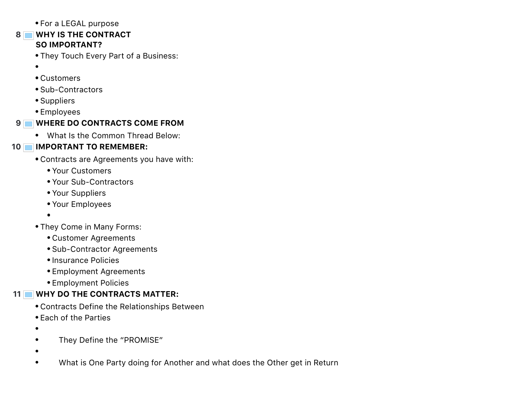For a LEGAL purpose

#### **8 WHY IS THE CONTRACT SO IMPORTANT?**

- They Touch Every Part of a Business:
- $\bullet$
- Customers
- Sub-Contractors
- Suppliers
- Employees

## **9 WHERE DO CONTRACTS COME FROM**

What Is the Common Thread Below:

### **10 IMPORTANT TO REMEMBER:**

- Contracts are Agreements you have with:
	- Your Customers
	- Your Sub-Contractors
	- Your Suppliers
	- Your Employees
	- $\bullet$
- They Come in Many Forms:
	- Customer Agreements
	- Sub-Contractor Agreements
	- Insurance Policies
	- Employment Agreements
	- Employment Policies

# **11 WHY DO THE CONTRACTS MATTER:**

- Contracts Define the Relationships Between
- Each of the Parties
- $\bullet$
- They Define the "PROMISE"  $\bullet$
- $\bullet$
- $\bullet$ What is One Party doing for Another and what does the Other get in Return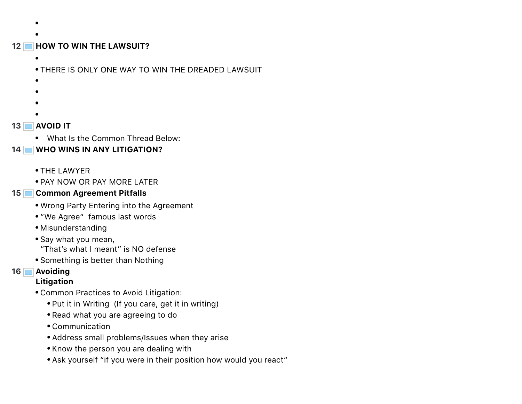- 
- 

### **12 HOW TO WIN THE LAWSUIT?**

 $\bullet$ 

THERE IS ONLY ONE WAY TO WIN THE DREADED LAWSUIT

- $\bullet$
- $\bullet$
- 
- 

### **13 AVOID IT**

What Is the Common Thread Below:

## **14 WHO WINS IN ANY LITIGATION?**

- THE LAWYER
- **.** PAY NOW OR PAY MORE LATER

### **15 Common Agreement Pitfalls**

- Wrong Party Entering into the Agreement
- "We Agree" famous last words
- Misunderstanding
- Say what you mean, "That's what I meant" is NO defense
- Something is better than Nothing

### **16 Avoiding**

### **Litigation**

- Common Practices to Avoid Litigation:
	- Put it in Writing (If you care, get it in writing)
	- Read what you are agreeing to do
	- Communication
	- Address small problems/Issues when they arise
	- Know the person you are dealing with
	- Ask yourself "if you were in their position how would you react"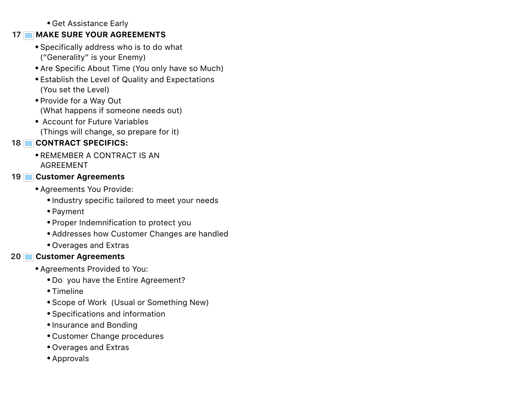Get Assistance Early

### **17 MAKE SURE YOUR AGREEMENTS**

- Specifically address who is to do what ("Generality" is your Enemy)
- Are Specific About Time (You only have so Much)
- Establish the Level of Quality and Expectations (You set the Level)
- Provide for a Way Out (What happens if someone needs out)
- Account for Future Variables (Things will change, so prepare for it)

## **18 CONTRACT SPECIFICS:**

**• REMEMBER A CONTRACT IS AN** AGREEMENT

### **19 Customer Agreements**

- Agreements You Provide:
	- Industry specific tailored to meet your needs
	- Payment
	- Proper Indemnification to protect you
	- Addresses how Customer Changes are handled
	- Overages and Extras

## **20 Customer Agreements**

- Agreements Provided to You:
	- Do you have the Entire Agreement?
	- Timeline
	- Scope of Work (Usual or Something New)
	- Specifications and information
	- Insurance and Bonding
	- Customer Change procedures
	- Overages and Extras
	- Approvals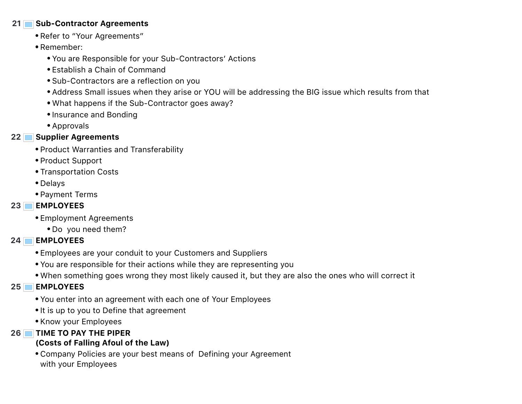#### **21 Sub-Contractor Agreements**

- Refer to "Your Agreements"
- Remember:
	- You are Responsible for your Sub-Contractors' Actions
	- Establish a Chain of Command
	- Sub-Contractors are a reflection on you
	- Address Small issues when they arise or YOU will be addressing the BIG issue which results from that
	- What happens if the Sub-Contractor goes away?
	- Insurance and Bonding
	- Approvals

## **22 Supplier Agreements**

- Product Warranties and Transferability
- Product Support
- Transportation Costs
- Delays
- Payment Terms

## **23 EMPLOYEES**

- Employment Agreements
	- Do you need them?

## **24 EMPLOYEES**

- Employees are your conduit to your Customers and Suppliers
- You are responsible for their actions while they are representing you
- When something goes wrong they most likely caused it, but they are also the ones who will correct it

## **25 EMPLOYEES**

- You enter into an agreement with each one of Your Employees
- It is up to you to Define that agreement
- Know your Employees

## **26 TIME TO PAY THE PIPER**

## **(Costs of Falling Afoul of the Law)**

Company Policies are your best means of Defining your Agreement with your Employees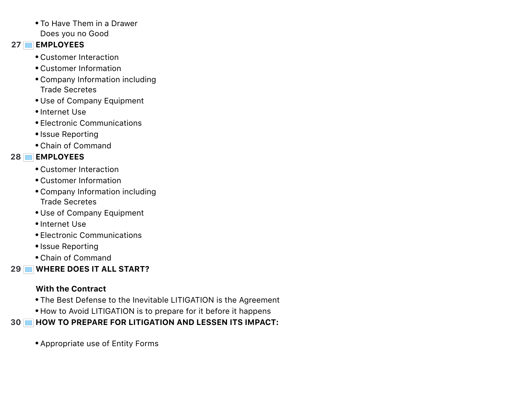• To Have Them in a Drawer Does you no Good

#### **27 EMPLOYEES**

- Customer Interaction
- Customer Information
- Company Information including Trade Secretes
- Use of Company Equipment
- Internet Use
- Electronic Communications
- Issue Reporting
- Chain of Command

# **28 EMPLOYEES**

- Customer Interaction
- Customer Information
- Company Information including Trade Secretes
- Use of Company Equipment
- Internet Use
- Electronic Communications
- Issue Reporting
- Chain of Command

**29 WHERE DOES IT ALL START?**

# **With the Contract**

- The Best Defense to the Inevitable LITIGATION is the Agreement
- How to Avoid LITIGATION is to prepare for it before it happens

**30 HOW TO PREPARE FOR LITIGATION AND LESSEN ITS IMPACT:**

Appropriate use of Entity Forms